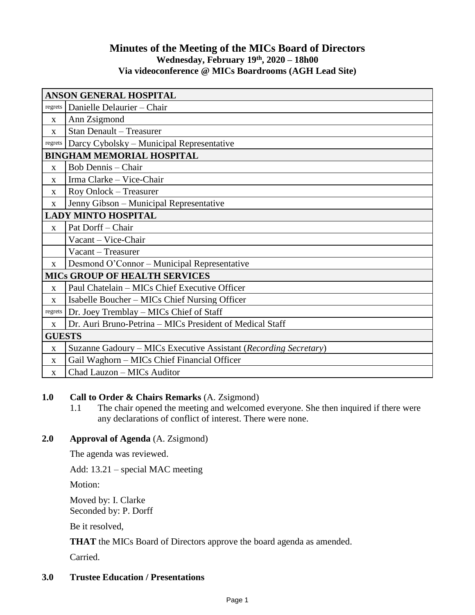# **Minutes of the Meeting of the MICs Board of Directors Wednesday, February 19th , 2020 – 18h00 Via videoconference @ MICs Boardrooms (AGH Lead Site)**

| <b>ANSON GENERAL HOSPITAL</b>        |                                                                  |
|--------------------------------------|------------------------------------------------------------------|
| regrets                              | Danielle Delaurier – Chair                                       |
| $\mathbf{x}$                         | Ann Zsigmond                                                     |
| $\mathbf{X}$                         | <b>Stan Denault - Treasurer</b>                                  |
| regrets                              | Darcy Cybolsky – Municipal Representative                        |
| <b>BINGHAM MEMORIAL HOSPITAL</b>     |                                                                  |
| $\mathbf X$                          | Bob Dennis - Chair                                               |
| X                                    | Irma Clarke - Vice-Chair                                         |
| $\mathbf{X}$                         | Roy Onlock - Treasurer                                           |
| $\mathbf{X}$                         | Jenny Gibson – Municipal Representative                          |
| <b>LADY MINTO HOSPITAL</b>           |                                                                  |
| $\mathbf{X}$                         | Pat Dorff - Chair                                                |
|                                      | Vacant - Vice-Chair                                              |
|                                      | Vacant - Treasurer                                               |
| $\mathbf{X}$                         | Desmond O'Connor – Municipal Representative                      |
| <b>MICS GROUP OF HEALTH SERVICES</b> |                                                                  |
| X                                    | Paul Chatelain - MICs Chief Executive Officer                    |
| X                                    | Isabelle Boucher – MICs Chief Nursing Officer                    |
| regrets                              | Dr. Joey Tremblay – MICs Chief of Staff                          |
| $\mathbf{X}$                         | Dr. Auri Bruno-Petrina – MICs President of Medical Staff         |
| <b>GUESTS</b>                        |                                                                  |
| X                                    | Suzanne Gadoury – MICs Executive Assistant (Recording Secretary) |
| $\mathbf{X}$                         | Gail Waghorn - MICs Chief Financial Officer                      |
| $\mathbf{X}$                         | Chad Lauzon - MICs Auditor                                       |

## **1.0 Call to Order & Chairs Remarks** (A. Zsigmond)

1.1 The chair opened the meeting and welcomed everyone. She then inquired if there were any declarations of conflict of interest. There were none.

## **2.0 Approval of Agenda** (A. Zsigmond)

The agenda was reviewed.

Add: 13.21 – special MAC meeting

Motion:

Moved by: I. Clarke Seconded by: P. Dorff

Be it resolved,

**THAT** the MICs Board of Directors approve the board agenda as amended.

Carried.

# **3.0 Trustee Education / Presentations**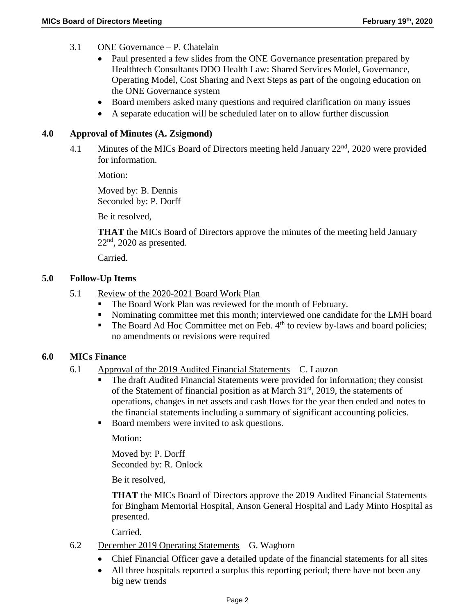- 3.1 ONE Governance P. Chatelain
	- Paul presented a few slides from the ONE Governance presentation prepared by Healthtech Consultants DDO Health Law: Shared Services Model, Governance, Operating Model, Cost Sharing and Next Steps as part of the ongoing education on the ONE Governance system
	- Board members asked many questions and required clarification on many issues
	- A separate education will be scheduled later on to allow further discussion

## **4.0 Approval of Minutes (A. Zsigmond)**

4.1 Minutes of the MICs Board of Directors meeting held January 22<sup>nd</sup>, 2020 were provided for information.

Motion:

Moved by: B. Dennis Seconded by: P. Dorff

Be it resolved,

**THAT** the MICs Board of Directors approve the minutes of the meeting held January  $22<sup>nd</sup>$ , 2020 as presented.

Carried.

## **5.0 Follow-Up Items**

- 5.1 Review of the 2020-2021 Board Work Plan
	- The Board Work Plan was reviewed for the month of February.
	- Nominating committee met this month; interviewed one candidate for the LMH board
	- The Board Ad Hoc Committee met on Feb.  $4<sup>th</sup>$  to review by-laws and board policies; no amendments or revisions were required

## **6.0 MICs Finance**

- 6.1 Approval of the 2019 Audited Financial Statements C. Lauzon
	- The draft Audited Financial Statements were provided for information; they consist of the Statement of financial position as at March  $31<sup>st</sup>$ , 2019, the statements of operations, changes in net assets and cash flows for the year then ended and notes to the financial statements including a summary of significant accounting policies.
	- Board members were invited to ask questions.

Motion:

Moved by: P. Dorff Seconded by: R. Onlock

Be it resolved,

**THAT** the MICs Board of Directors approve the 2019 Audited Financial Statements for Bingham Memorial Hospital, Anson General Hospital and Lady Minto Hospital as presented.

Carried.

- 6.2 December 2019 Operating Statements G. Waghorn
	- Chief Financial Officer gave a detailed update of the financial statements for all sites
	- All three hospitals reported a surplus this reporting period; there have not been any big new trends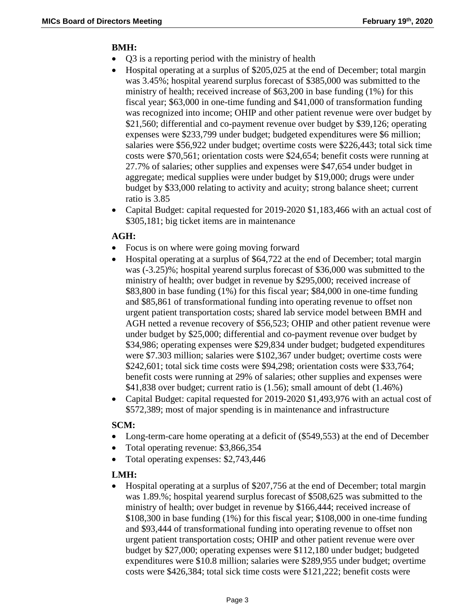# **BMH:**

- Q3 is a reporting period with the ministry of health
- Hospital operating at a surplus of \$205,025 at the end of December; total margin was 3.45%; hospital yearend surplus forecast of \$385,000 was submitted to the ministry of health; received increase of \$63,200 in base funding (1%) for this fiscal year; \$63,000 in one-time funding and \$41,000 of transformation funding was recognized into income; OHIP and other patient revenue were over budget by \$21,560; differential and co-payment revenue over budget by \$39,126; operating expenses were \$233,799 under budget; budgeted expenditures were \$6 million; salaries were \$56,922 under budget; overtime costs were \$226,443; total sick time costs were \$70,561; orientation costs were \$24,654; benefit costs were running at 27.7% of salaries; other supplies and expenses were \$47,654 under budget in aggregate; medical supplies were under budget by \$19,000; drugs were under budget by \$33,000 relating to activity and acuity; strong balance sheet; current ratio is 3.85
- Capital Budget: capital requested for 2019-2020 \$1,183,466 with an actual cost of \$305,181; big ticket items are in maintenance

# **AGH:**

- Focus is on where were going moving forward
- Hospital operating at a surplus of \$64,722 at the end of December; total margin was (-3.25)%; hospital yearend surplus forecast of \$36,000 was submitted to the ministry of health; over budget in revenue by \$295,000; received increase of \$83,800 in base funding (1%) for this fiscal year; \$84,000 in one-time funding and \$85,861 of transformational funding into operating revenue to offset non urgent patient transportation costs; shared lab service model between BMH and AGH netted a revenue recovery of \$56,523; OHIP and other patient revenue were under budget by \$25,000; differential and co-payment revenue over budget by \$34,986; operating expenses were \$29,834 under budget; budgeted expenditures were \$7.303 million; salaries were \$102,367 under budget; overtime costs were \$242,601; total sick time costs were \$94,298; orientation costs were \$33,764; benefit costs were running at 29% of salaries; other supplies and expenses were \$41,838 over budget; current ratio is (1.56); small amount of debt (1.46%)
- Capital Budget: capital requested for 2019-2020 \$1,493,976 with an actual cost of \$572,389; most of major spending is in maintenance and infrastructure

## **SCM:**

- Long-term-care home operating at a deficit of (\$549,553) at the end of December
- Total operating revenue: \$3,866,354
- Total operating expenses: \$2,743,446

## **LMH:**

 Hospital operating at a surplus of \$207,756 at the end of December; total margin was 1.89.%; hospital yearend surplus forecast of \$508,625 was submitted to the ministry of health; over budget in revenue by \$166,444; received increase of \$108,300 in base funding (1%) for this fiscal year; \$108,000 in one-time funding and \$93,444 of transformational funding into operating revenue to offset non urgent patient transportation costs; OHIP and other patient revenue were over budget by \$27,000; operating expenses were \$112,180 under budget; budgeted expenditures were \$10.8 million; salaries were \$289,955 under budget; overtime costs were \$426,384; total sick time costs were \$121,222; benefit costs were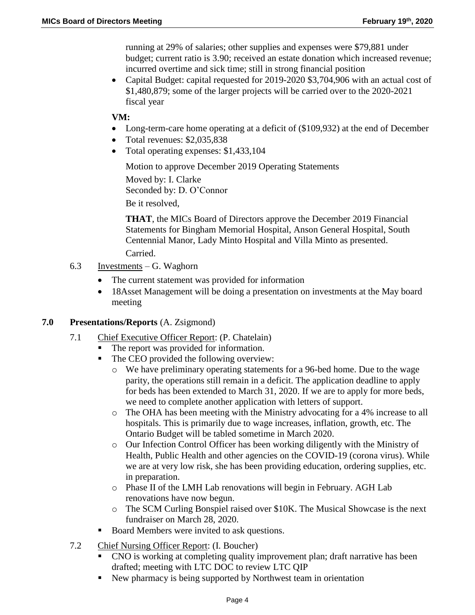running at 29% of salaries; other supplies and expenses were \$79,881 under budget; current ratio is 3.90; received an estate donation which increased revenue; incurred overtime and sick time; still in strong financial position

• Capital Budget: capital requested for 2019-2020 \$3,704,906 with an actual cost of \$1,480,879; some of the larger projects will be carried over to the 2020-2021 fiscal year

## **VM:**

- Long-term-care home operating at a deficit of (\$109,932) at the end of December
- Total revenues: \$2,035,838
- Total operating expenses: \$1,433,104

Motion to approve December 2019 Operating Statements

Moved by: I. Clarke Seconded by: D. O'Connor Be it resolved,

**THAT**, the MICs Board of Directors approve the December 2019 Financial Statements for Bingham Memorial Hospital, Anson General Hospital, South Centennial Manor, Lady Minto Hospital and Villa Minto as presented. Carried.

- 6.3 Investments G. Waghorn
	- The current statement was provided for information
	- 18Asset Management will be doing a presentation on investments at the May board meeting

## **7.0 Presentations/Reports** (A. Zsigmond)

- 7.1 Chief Executive Officer Report: (P. Chatelain)
	- The report was provided for information.
	- The CEO provided the following overview:
		- o We have preliminary operating statements for a 96-bed home. Due to the wage parity, the operations still remain in a deficit. The application deadline to apply for beds has been extended to March 31, 2020. If we are to apply for more beds, we need to complete another application with letters of support.
		- o The OHA has been meeting with the Ministry advocating for a 4% increase to all hospitals. This is primarily due to wage increases, inflation, growth, etc. The Ontario Budget will be tabled sometime in March 2020.
		- o Our Infection Control Officer has been working diligently with the Ministry of Health, Public Health and other agencies on the COVID-19 (corona virus). While we are at very low risk, she has been providing education, ordering supplies, etc. in preparation.
		- o Phase II of the LMH Lab renovations will begin in February. AGH Lab renovations have now begun.
		- o The SCM Curling Bonspiel raised over \$10K. The Musical Showcase is the next fundraiser on March 28, 2020.
	- Board Members were invited to ask questions.
- 7.2 Chief Nursing Officer Report: (I. Boucher)
	- CNO is working at completing quality improvement plan; draft narrative has been drafted; meeting with LTC DOC to review LTC QIP
	- New pharmacy is being supported by Northwest team in orientation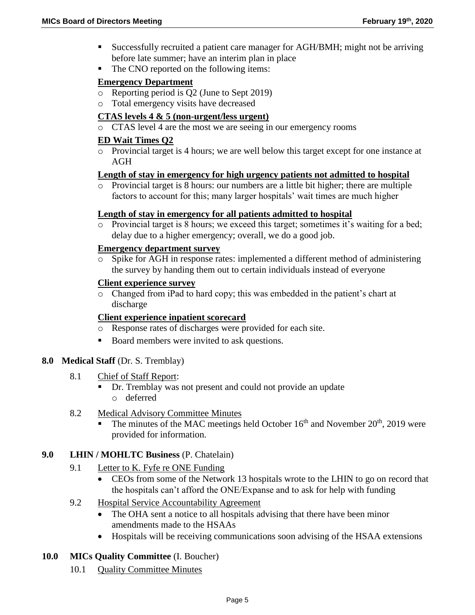- Successfully recruited a patient care manager for AGH/BMH; might not be arriving before late summer; have an interim plan in place
- The CNO reported on the following items:

## **Emergency Department**

- o Reporting period is Q2 (June to Sept 2019)
- o Total emergency visits have decreased

# **CTAS levels 4 & 5 (non-urgent/less urgent)**

o CTAS level 4 are the most we are seeing in our emergency rooms

## **ED Wait Times Q2**

o Provincial target is 4 hours; we are well below this target except for one instance at AGH

## **Length of stay in emergency for high urgency patients not admitted to hospital**

o Provincial target is 8 hours: our numbers are a little bit higher; there are multiple factors to account for this; many larger hospitals' wait times are much higher

## **Length of stay in emergency for all patients admitted to hospital**

o Provincial target is 8 hours; we exceed this target; sometimes it's waiting for a bed; delay due to a higher emergency; overall, we do a good job.

## **Emergency department survey**

o Spike for AGH in response rates: implemented a different method of administering the survey by handing them out to certain individuals instead of everyone

## **Client experience survey**

o Changed from iPad to hard copy; this was embedded in the patient's chart at discharge

## **Client experience inpatient scorecard**

- o Response rates of discharges were provided for each site.
- Board members were invited to ask questions.

## **8.0 Medical Staff** (Dr. S. Tremblay)

- 8.1 Chief of Staff Report:
	- Dr. Tremblay was not present and could not provide an update o deferred
- 8.2 Medical Advisory Committee Minutes
	- The minutes of the MAC meetings held October  $16<sup>th</sup>$  and November  $20<sup>th</sup>$ , 2019 were provided for information.

## **9.0 LHIN / MOHLTC Business** (P. Chatelain)

- 9.1 Letter to K. Fyfe re ONE Funding
	- CEOs from some of the Network 13 hospitals wrote to the LHIN to go on record that the hospitals can't afford the ONE/Expanse and to ask for help with funding
- 9.2 Hospital Service Accountability Agreement
	- The OHA sent a notice to all hospitals advising that there have been minor amendments made to the HSAAs
	- Hospitals will be receiving communications soon advising of the HSAA extensions
- **10.0 MICs Quality Committee** (I. Boucher)
	- 10.1 **Quality Committee Minutes**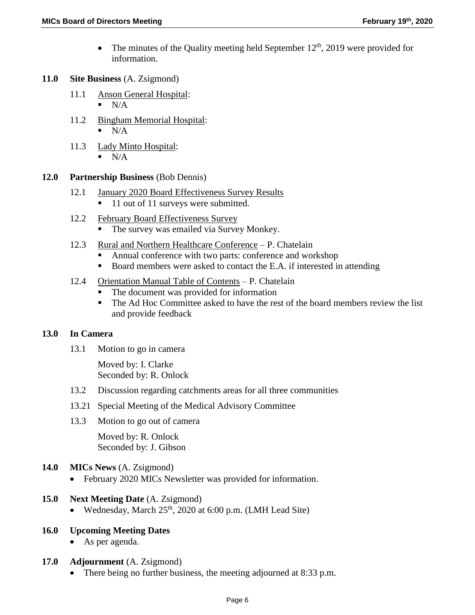- The minutes of the Quality meeting held September  $12<sup>th</sup>$ , 2019 were provided for information.
- **11.0 Site Business** (A. Zsigmond)
	- 11.1 Anson General Hospital:  $\blacksquare$  N/A
	- 11.2 Bingham Memorial Hospital:  $\blacksquare$  N/A
	- 11.3 Lady Minto Hospital:
		- $N/A$

## **12.0 Partnership Business** (Bob Dennis)

- 12.1 January 2020 Board Effectiveness Survey Results 11 out of 11 surveys were submitted.
- 12.2 February Board Effectiveness Survey **The survey was emailed via Survey Monkey.**
- 12.3 Rural and Northern Healthcare Conference P. Chatelain
	- Annual conference with two parts: conference and workshop
	- Board members were asked to contact the E.A. if interested in attending
- 12.4 Orientation Manual Table of Contents P. Chatelain
	- The document was provided for information
	- The Ad Hoc Committee asked to have the rest of the board members review the list and provide feedback

## **13.0 In Camera**

13.1 Motion to go in camera

Moved by: I. Clarke Seconded by: R. Onlock

- 13.2 Discussion regarding catchments areas for all three communities
- 13.21 Special Meeting of the Medical Advisory Committee
- 13.3 Motion to go out of camera

Moved by: R. Onlock Seconded by: J. Gibson

- **14.0 MICs News** (A. Zsigmond)
	- February 2020 MICs Newsletter was provided for information.

## **15.0 Next Meeting Date** (A. Zsigmond)

• Wednesday, March  $25<sup>th</sup>$ , 2020 at 6:00 p.m. (LMH Lead Site)

## **16.0 Upcoming Meeting Dates**

As per agenda.

## **17.0 Adjournment** (A. Zsigmond)

• There being no further business, the meeting adjourned at 8:33 p.m.